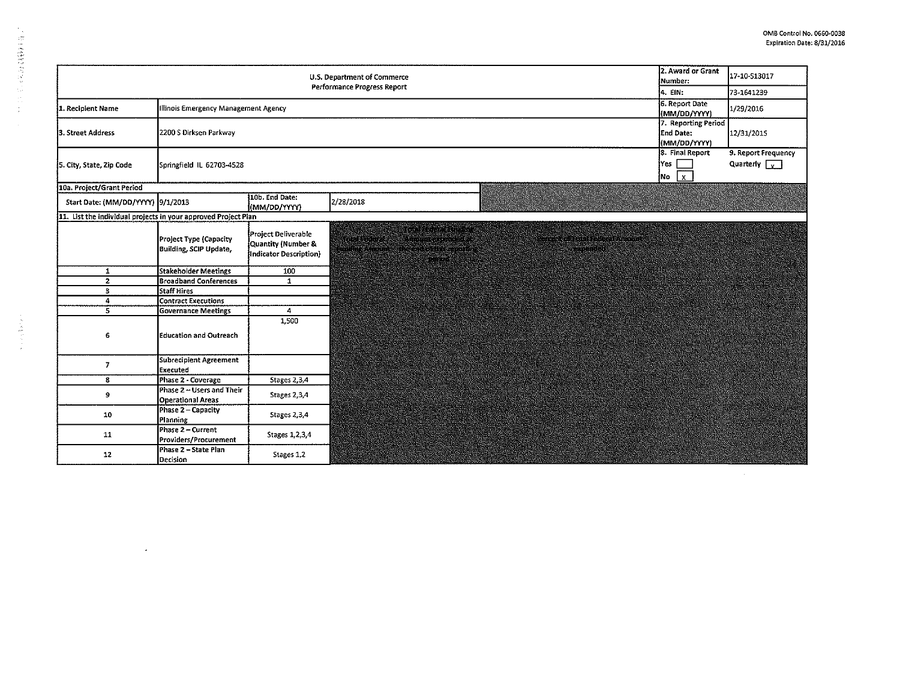$\sim 10^{-1}$ 

|                                                                | 2. Award or Grant<br><b>U.S. Department of Commerce</b><br>Number:<br>Performance Progress Report | 17-10-513017                                                        |                                                                                                                                                                     |                                                       |
|----------------------------------------------------------------|---------------------------------------------------------------------------------------------------|---------------------------------------------------------------------|---------------------------------------------------------------------------------------------------------------------------------------------------------------------|-------------------------------------------------------|
|                                                                | 44. EIN :                                                                                         | 73-1641239                                                          |                                                                                                                                                                     |                                                       |
| 1. Recipient Name                                              | Illinois Emergency Management Agency                                                              | 6. Report Date<br>(MM/DD/YYYY)                                      | 1/29/2016                                                                                                                                                           |                                                       |
| 3. Street Address                                              | 2200 S Dirksen Parkway                                                                            |                                                                     | 7. Reporting Period<br>End Date:<br>(MM/DD/YYYY)                                                                                                                    | 12/31/2015                                            |
| 5. City, State, Zip Code                                       | Springfield IL 62703-4528                                                                         |                                                                     | 8. Final Report<br> Yes  <br> No<br>$\mathbf{x}$                                                                                                                    | 9. Report Frequency<br>Quarterly $\boxed{\mathbf{v}}$ |
| 10a. Project/Grant Period                                      |                                                                                                   |                                                                     |                                                                                                                                                                     |                                                       |
| Start Date: (MM/DD/YYYY) 9/1/2013                              |                                                                                                   | 10b. End Date:<br>(MM/DD/YYYY)                                      | 2/28/2018                                                                                                                                                           |                                                       |
| 11. List the individual projects in your approved Project Plan |                                                                                                   |                                                                     |                                                                                                                                                                     |                                                       |
|                                                                | <b>Project Type (Capacity</b><br><b>Building, SCIP Update,</b>                                    | Project Deliverable<br>Quantity (Number &<br>Indicator Description) | mukovo kalend<br>rt e an t-an an Ann an 199<br>ia an bhaile an chuidhean<br><u>TANG SA</u><br>TERRITAS PROVINCIAS<br>eerester<br><b>RIDIE JANGERY</b><br>essassanan |                                                       |
| $\mathbf{1}$                                                   | <b>Stakeholder Meetings</b>                                                                       | 100                                                                 |                                                                                                                                                                     |                                                       |
| $\mathbf{z}$                                                   | <b>Broadband Conferences</b>                                                                      | $\mathbf{1}$                                                        |                                                                                                                                                                     |                                                       |
| 3                                                              | <b>Staff Hires</b>                                                                                |                                                                     |                                                                                                                                                                     |                                                       |
| 4                                                              | <b>Contract Executions</b>                                                                        |                                                                     |                                                                                                                                                                     |                                                       |
| 5                                                              | <b>Governance Meetings</b>                                                                        | 4                                                                   |                                                                                                                                                                     |                                                       |
| 6                                                              | Education and Outreach                                                                            | 1,500                                                               |                                                                                                                                                                     |                                                       |
| 7                                                              | <b>Subrecipient Agreement</b><br><b>Executed</b>                                                  |                                                                     |                                                                                                                                                                     |                                                       |
| 8                                                              | Phase 2 - Coverage                                                                                | Stages 2,3,4                                                        |                                                                                                                                                                     |                                                       |
| 9                                                              | Phase 2 - Users and Their<br><b>Operational Areas</b>                                             | Stages 2,3,4                                                        |                                                                                                                                                                     |                                                       |
| 10                                                             | Phase 2 - Capacity<br><b>Planning</b>                                                             | Stages 2,3,4                                                        |                                                                                                                                                                     |                                                       |
| 11                                                             | Phase 2 - Current<br>Providers/Procurement                                                        | Stages 1, 2, 3, 4                                                   |                                                                                                                                                                     |                                                       |
| 12                                                             | Phase 2 – State Plan<br>Decision                                                                  | Stages 1,2                                                          |                                                                                                                                                                     |                                                       |

 $\sim$ 

1、日本の日本の日本の

 $\hat{\mathcal{A}}$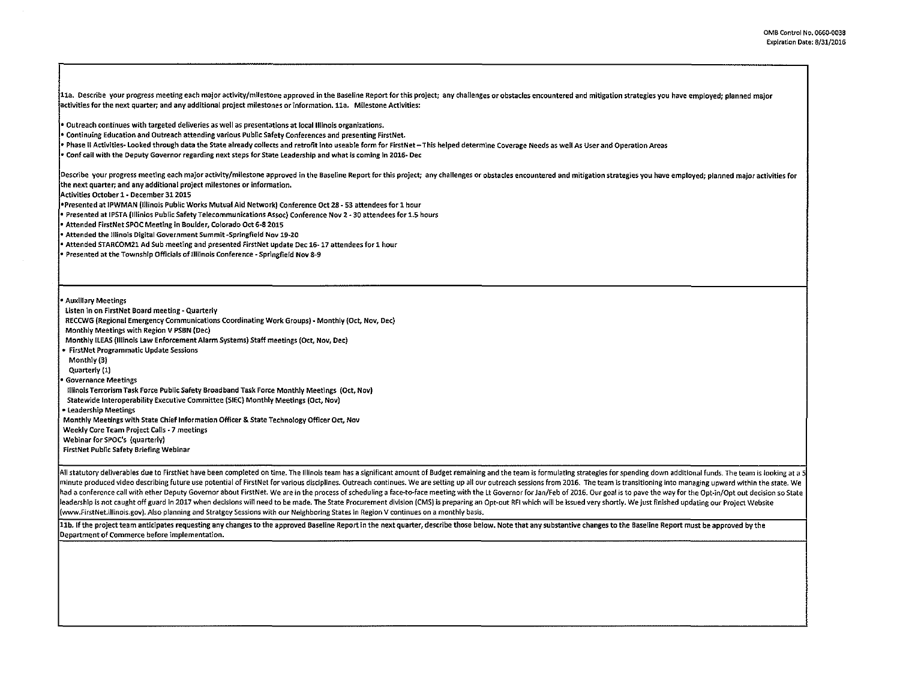11a. Describe your progress meeting each major activity/milestone approved in the Baseline Report for this project; any challenges or obstacles encountered and mitigation strategies you have employed; planned major activities for the next quarter; and any additional project milestones or information. lla. Milestone Activities:

• Outreach continues with targeted deliveries as well as presentations at lotallllinois organizations.

• Continuing Education and Outreach attending various Public Safety Conferences and presenting FirstNet.

**Phase II Activities- Looked through data the State already collects and retrofit into useable form for FirstNet - This helped determine Coverage Needs as well As User and Operation Areas** 

• Conf call with the Deputy Governor regarding next steps for State Leadership and what is coming in 2016- Dec

Describe your progress meeting each major activity/milestone approved in the Baseline Report for this project; any challenges or obstacles encountered and mitigation strategies you have employed; planned major activities for the next quarter; and any additional project milestones or information.

Activities October 1- December 31201S

•Presented at IPWMAN (Illinois Public Works Mutual Aid Network) Conference Oct 28- 53 attendees for 1 hour

• Presented at IPSTA (lllinios Public Safety Telecommunications Assoc) Conference Nov 2-30 attendees for 1.5 hours

• Attended FirstNet SPOC Meeting in Boulder, Colorado Oct 6-8 2015

• Attended the Illinois Digital Government Summit -Springfield Nov 19-20

• Attended STARCOM21 Ad Sub meeting and presented FirstNet update Dec 16-17 attendees for 1 hour

• Presented at the Township Officials of Illiinois Conference - Springfield Nov 8-9

• Auxiliary Meetings

Listen in on FirstNet Board meeting- Quarterly

RECCWG (Regional Emergency Communications Coordinating Work Groups)- Monthly (Oct, Nov, Dec)

Monthly Meetings with Region V PSBN (Dec)

Monthly !LEAS (Illinois Law Enforcement Alarm Systems) Staff meetings (Oct, Nov, Dec)

• FirstNet Programmatic Update Sessions

Monthly(3)

Quarterly (1)

• Governance Meetings

Illinois Terrorism Task Force Public Safety Broadband Task Force Monthly Meetings (Oct, Nov)

Statewide lnteroperability Executive Committee (SIEC) Monthly Meetings (Oct, Nov)

• Leadership Meetings

Monthly Meetings with State Chief Information Officer & State Technology Officer Oct, Nov

Weekly Core Team Project Calls -7 meetings

Webinar for SPOC's (quarterly)

FirstNet Public Safety Briefing Webinar

All statutory deliverables due to FirstNet have been completed on time. The Illinois team has a significant amount of Budget remaining and the team is formulating strategies for spending down additional funds. The team is minute produced video describing future use potential of FirstNet for various disciplines. Outreach continues, We are setting up all our outreach sessions from 2016. The team is transitioning into managing upward within th had a conference call with ether Deputy Governor about FirstNet. We are in the process of scheduling a face-to-face meeting with the Lt Governor for Jan/Feb of 2016. Our goal is to pave the way for the Opt-in/Opt out decis leadership is not caught off guard in 2017 when decisions will need to be made. The State Procurement division (CMS) is preparing an Opt-out RFI which will be issued very shortly. We just finished updating our Project Webs (www.FirstNet.illinois.gov). Also planning and Stratgey Sessions with our Neighboring States in Region V continues on a monthly basis.

11b. If the project team anticipates requesting any changes to the approved Baseline Report in the next quarter, describe those below. Note that any substantive changes to the Baseline Report must be approved by the Department of Commerce before implementation.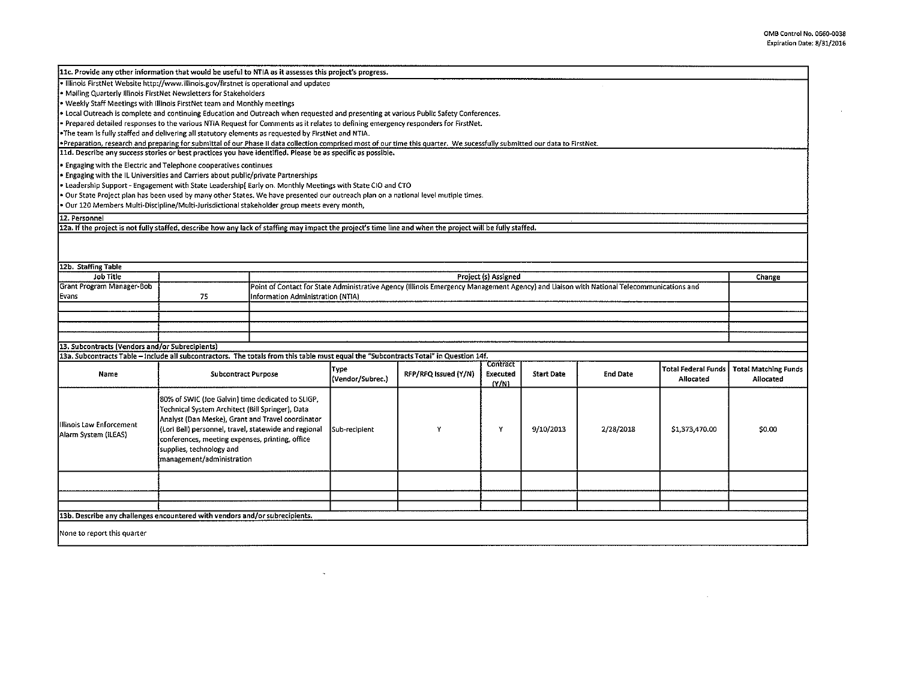$\sim 10^7$ 

 $\sim$ 

| 11c. Provide any other information that would be useful to NTIA as it assesses this project's progress.                                                                    |                                                       |  |                                                                                                                                                                               |                      |                 |                   |                 |                            |                             |  |
|----------------------------------------------------------------------------------------------------------------------------------------------------------------------------|-------------------------------------------------------|--|-------------------------------------------------------------------------------------------------------------------------------------------------------------------------------|----------------------|-----------------|-------------------|-----------------|----------------------------|-----------------------------|--|
| . Illinois FirstNet Website http://www.illinois.gov/firstnet is operational and updated                                                                                    |                                                       |  |                                                                                                                                                                               |                      |                 |                   |                 |                            |                             |  |
| • Mailing Quarterly Illinois FirstNet Newsletters for Stakeholders                                                                                                         |                                                       |  |                                                                                                                                                                               |                      |                 |                   |                 |                            |                             |  |
| • Weekly Staff Meetings with Illinois FirstNet team and Monthly meetings                                                                                                   |                                                       |  |                                                                                                                                                                               |                      |                 |                   |                 |                            |                             |  |
| * Local Outreach is complete and continuing Education and Outreach when requested and presenting at various Public Safety Conferences.                                     |                                                       |  |                                                                                                                                                                               |                      |                 |                   |                 |                            |                             |  |
| • Prepared detailed responses to the various NTIA Request for Comments as it relates to defining emergency responders for FirstNet.                                        |                                                       |  |                                                                                                                                                                               |                      |                 |                   |                 |                            |                             |  |
| The team is fully staffed and delivering all statutory elements as requested by FirstNet and NTIA.                                                                         |                                                       |  |                                                                                                                                                                               |                      |                 |                   |                 |                            |                             |  |
| *Preparation, research and preparing for submittal of our Phase II data collection comprised most of our time this quarter. We sucessfully submitted our data to FirstNet. |                                                       |  |                                                                                                                                                                               |                      |                 |                   |                 |                            |                             |  |
| 11d. Describe any success stories or best practices you have identified. Please be as specific as possible.                                                                |                                                       |  |                                                                                                                                                                               |                      |                 |                   |                 |                            |                             |  |
| . Engaging with the Electric and Telephone cooperatives continues                                                                                                          |                                                       |  |                                                                                                                                                                               |                      |                 |                   |                 |                            |                             |  |
| • Engaging with the IL Universities and Carriers about public/private Partnerships                                                                                         |                                                       |  |                                                                                                                                                                               |                      |                 |                   |                 |                            |                             |  |
| · Leadership Support - Engagement with State Leadership[Early on. Monthly Meetings with State CIO and CTO                                                                  |                                                       |  |                                                                                                                                                                               |                      |                 |                   |                 |                            |                             |  |
| . Our State Project plan has been used by many other States. We have presented our outreach plan on a national level mutiple times.                                        |                                                       |  |                                                                                                                                                                               |                      |                 |                   |                 |                            |                             |  |
| · Our 120 Members Multi-Discipline/Multi-Jurisdictional stakeholder group meets every month,                                                                               |                                                       |  |                                                                                                                                                                               |                      |                 |                   |                 |                            |                             |  |
| 12. Personnel                                                                                                                                                              |                                                       |  |                                                                                                                                                                               |                      |                 |                   |                 |                            |                             |  |
| 12a. If the project is not fully staffed, describe how any lack of staffing may impact the project's time line and when the project will be fully staffed.                 |                                                       |  |                                                                                                                                                                               |                      |                 |                   |                 |                            |                             |  |
|                                                                                                                                                                            |                                                       |  |                                                                                                                                                                               |                      |                 |                   |                 |                            |                             |  |
|                                                                                                                                                                            |                                                       |  |                                                                                                                                                                               |                      |                 |                   |                 |                            |                             |  |
|                                                                                                                                                                            |                                                       |  |                                                                                                                                                                               |                      |                 |                   |                 |                            |                             |  |
| 12b. Staffing Table                                                                                                                                                        |                                                       |  |                                                                                                                                                                               |                      |                 |                   |                 |                            |                             |  |
| <b>Job Title</b>                                                                                                                                                           |                                                       |  | Project (s) Assigned<br>Change                                                                                                                                                |                      |                 |                   |                 |                            |                             |  |
| Grant Program Manager-Bob                                                                                                                                                  |                                                       |  |                                                                                                                                                                               |                      |                 |                   |                 |                            |                             |  |
| Evans                                                                                                                                                                      | 75                                                    |  | Point of Contact for State Administrative Agency (Illinois Emergency Management Agency) and Liaison with National Telecommunications and<br>Information Administration (NTIA) |                      |                 |                   |                 |                            |                             |  |
|                                                                                                                                                                            |                                                       |  |                                                                                                                                                                               |                      |                 |                   |                 |                            |                             |  |
|                                                                                                                                                                            |                                                       |  |                                                                                                                                                                               |                      |                 |                   |                 |                            |                             |  |
|                                                                                                                                                                            |                                                       |  |                                                                                                                                                                               |                      |                 |                   |                 |                            |                             |  |
|                                                                                                                                                                            |                                                       |  |                                                                                                                                                                               |                      |                 |                   |                 |                            |                             |  |
| 13. Subcontracts (Vendors and/or Subrecipients)                                                                                                                            |                                                       |  |                                                                                                                                                                               |                      |                 |                   |                 |                            |                             |  |
| 13a. Subcontracts Table - include all subcontractors. The totals from this table must equal the "Subcontracts Total" in Question 14f.                                      |                                                       |  |                                                                                                                                                                               |                      |                 |                   |                 |                            |                             |  |
|                                                                                                                                                                            |                                                       |  | <b>Type</b>                                                                                                                                                                   |                      | <b>Contract</b> |                   |                 | <b>Total Federal Funds</b> | <b>Total Matching Funds</b> |  |
| Name                                                                                                                                                                       | <b>Subcontract Purpose</b>                            |  | (Vendor/Subrec.)                                                                                                                                                              | RFP/RFQ Issued (Y/N) | Executed        | <b>Start Date</b> | <b>End Date</b> | Allocated                  | Allocated                   |  |
|                                                                                                                                                                            |                                                       |  |                                                                                                                                                                               |                      | (Y/N)           |                   |                 |                            |                             |  |
|                                                                                                                                                                            |                                                       |  |                                                                                                                                                                               | Y                    | Y               | 9/10/2013         | 2/28/2018       | \$1,373,470.00             | \$0.00                      |  |
|                                                                                                                                                                            | 80% of SWIC (Joe Galvin) time dedicated to SLIGP,     |  |                                                                                                                                                                               |                      |                 |                   |                 |                            |                             |  |
|                                                                                                                                                                            | Technical System Architect (Bill Springer), Data      |  |                                                                                                                                                                               |                      |                 |                   |                 |                            |                             |  |
| Illinois Law Enforcement                                                                                                                                                   | Analyst (Dan Meske), Grant and Travel coordinator     |  |                                                                                                                                                                               |                      |                 |                   |                 |                            |                             |  |
| Alarm System (ILEAS)                                                                                                                                                       | (Lori Bell) personnel, travel, statewide and regional |  | Sub-recipient                                                                                                                                                                 |                      |                 |                   |                 |                            |                             |  |
|                                                                                                                                                                            | conferences, meeting expenses, printing, office       |  |                                                                                                                                                                               |                      |                 |                   |                 |                            |                             |  |
|                                                                                                                                                                            | supplies, technology and                              |  |                                                                                                                                                                               |                      |                 |                   |                 |                            |                             |  |
|                                                                                                                                                                            | management/administration                             |  |                                                                                                                                                                               |                      |                 |                   |                 |                            |                             |  |
|                                                                                                                                                                            |                                                       |  |                                                                                                                                                                               |                      |                 |                   |                 |                            |                             |  |
|                                                                                                                                                                            |                                                       |  |                                                                                                                                                                               |                      |                 |                   |                 |                            |                             |  |
|                                                                                                                                                                            |                                                       |  |                                                                                                                                                                               |                      |                 |                   |                 |                            |                             |  |
|                                                                                                                                                                            |                                                       |  |                                                                                                                                                                               |                      |                 |                   |                 |                            |                             |  |
| 13b. Describe any challenges encountered with vendors and/or subrecipients.                                                                                                |                                                       |  |                                                                                                                                                                               |                      |                 |                   |                 |                            |                             |  |
|                                                                                                                                                                            |                                                       |  |                                                                                                                                                                               |                      |                 |                   |                 |                            |                             |  |
| None to report this quarter                                                                                                                                                |                                                       |  |                                                                                                                                                                               |                      |                 |                   |                 |                            |                             |  |
|                                                                                                                                                                            |                                                       |  |                                                                                                                                                                               |                      |                 |                   |                 |                            |                             |  |

 $\sim$